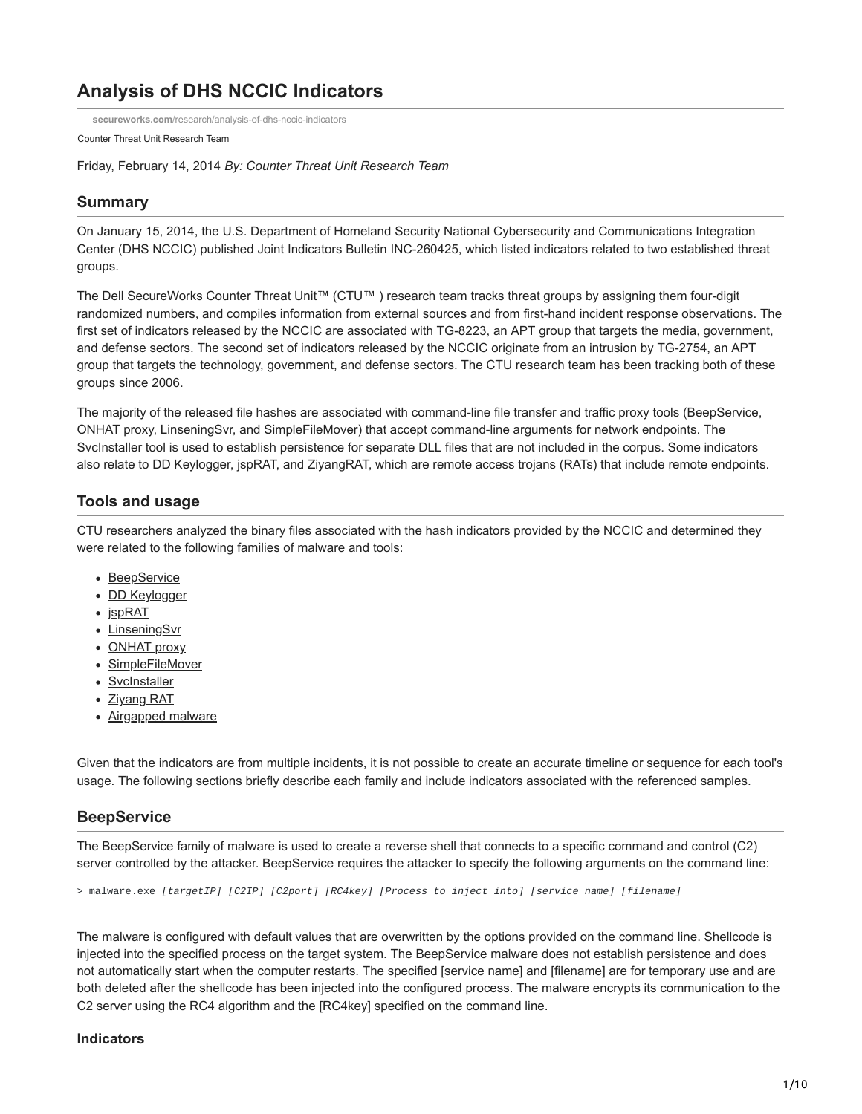# **Analysis of DHS NCCIC Indicators**

**secureworks.com**[/research/analysis-of-dhs-nccic-indicators](https://www.secureworks.com/research/analysis-of-dhs-nccic-indicators)

Counter Threat Unit Research Team

Friday, February 14, 2014 *By: Counter Threat Unit Research Team*

# **Summary**

On January 15, 2014, the U.S. Department of Homeland Security National Cybersecurity and Communications Integration Center (DHS NCCIC) published Joint Indicators Bulletin INC-260425, which listed indicators related to two established threat groups.

The Dell SecureWorks Counter Threat Unit™ (CTU™ ) research team tracks threat groups by assigning them four-digit randomized numbers, and compiles information from external sources and from first-hand incident response observations. The first set of indicators released by the NCCIC are associated with TG-8223, an APT group that targets the media, government, and defense sectors. The second set of indicators released by the NCCIC originate from an intrusion by TG-2754, an APT group that targets the technology, government, and defense sectors. The CTU research team has been tracking both of these groups since 2006.

The majority of the released file hashes are associated with command-line file transfer and traffic proxy tools (BeepService, ONHAT proxy, LinseningSvr, and SimpleFileMover) that accept command-line arguments for network endpoints. The SvcInstaller tool is used to establish persistence for separate DLL files that are not included in the corpus. Some indicators also relate to DD Keylogger, jspRAT, and ZiyangRAT, which are remote access trojans (RATs) that include remote endpoints.

# **Tools and usage**

CTU researchers analyzed the binary files associated with the hash indicators provided by the NCCIC and determined they were related to the following families of malware and tools:

- [BeepService](#page-0-0)
- [DD Keylogger](#page-1-0)
- $\cdot$  [jspRAT](#page-2-0)
- [LinseningSvr](#page-3-0)
- [ONHAT proxy](#page-4-0)
- [SimpleFileMover](#page-4-1)
- [SvcInstaller](#page-5-0)
- [Ziyang RAT](#page-6-0)
- [Airgapped malware](#page-8-0)

Given that the indicators are from multiple incidents, it is not possible to create an accurate timeline or sequence for each tool's usage. The following sections briefly describe each family and include indicators associated with the referenced samples.

# <span id="page-0-0"></span>**BeepService**

The BeepService family of malware is used to create a reverse shell that connects to a specific command and control (C2) server controlled by the attacker. BeepService requires the attacker to specify the following arguments on the command line:

> malware.exe *[targetIP] [C2IP] [C2port] [RC4key] [Process to inject into] [service name] [filename]*

The malware is configured with default values that are overwritten by the options provided on the command line. Shellcode is injected into the specified process on the target system. The BeepService malware does not establish persistence and does not automatically start when the computer restarts. The specified [service name] and [filename] are for temporary use and are both deleted after the shellcode has been injected into the configured process. The malware encrypts its communication to the C2 server using the RC4 algorithm and the [RC4key] specified on the command line.

### **Indicators**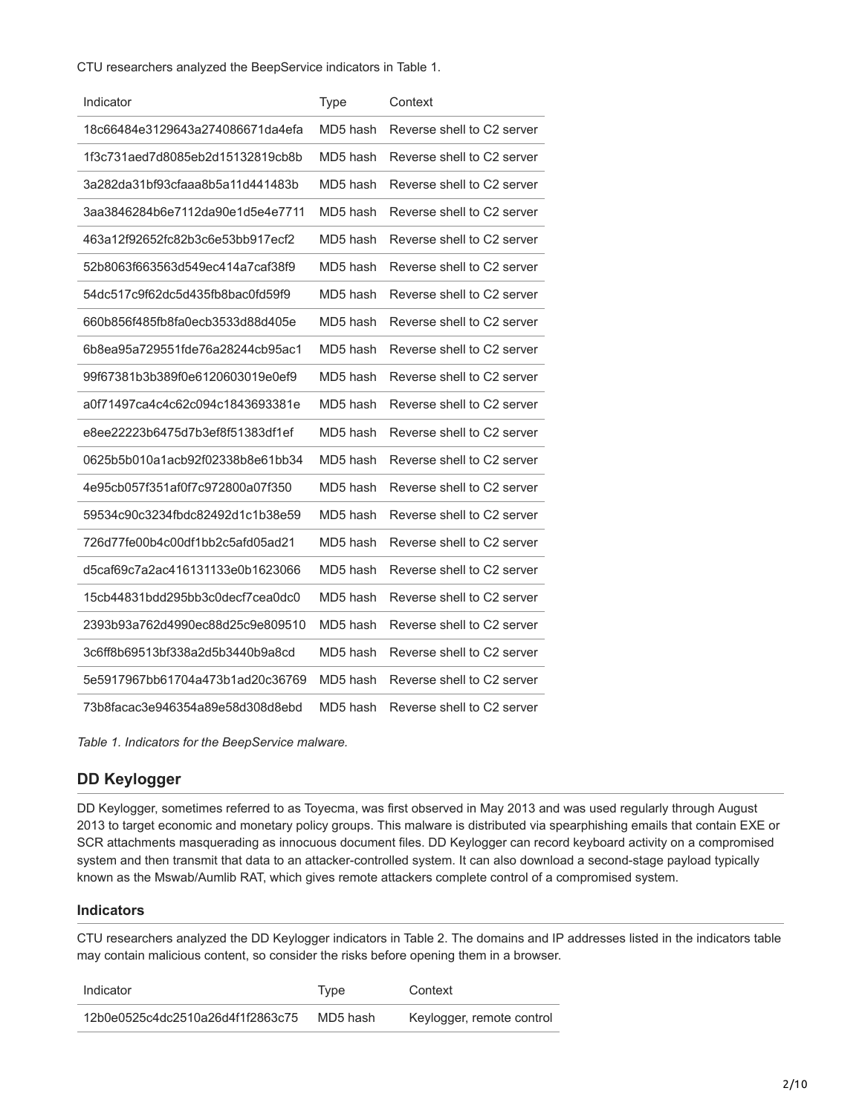CTU researchers analyzed the BeepService indicators in Table 1.

| Indicator                        | <b>Type</b> | Context                    |
|----------------------------------|-------------|----------------------------|
| 18c66484e3129643a274086671da4efa | MD5 hash    | Reverse shell to C2 server |
| 1f3c731aed7d8085eb2d15132819cb8b | MD5 hash    | Reverse shell to C2 server |
| 3a282da31bf93cfaaa8b5a11d441483b | MD5 hash    | Reverse shell to C2 server |
| 3aa3846284b6e7112da90e1d5e4e7711 | MD5 hash    | Reverse shell to C2 server |
| 463a12f92652fc82b3c6e53bb917ecf2 | MD5 hash    | Reverse shell to C2 server |
| 52b8063f663563d549ec414a7caf38f9 | MD5 hash    | Reverse shell to C2 server |
| 54dc517c9f62dc5d435fb8bac0fd59f9 | MD5 hash    | Reverse shell to C2 server |
| 660b856f485fb8fa0ecb3533d88d405e | MD5 hash    | Reverse shell to C2 server |
| 6b8ea95a729551fde76a28244cb95ac1 | MD5 hash    | Reverse shell to C2 server |
| 99f67381b3b389f0e6120603019e0ef9 | MD5 hash    | Reverse shell to C2 server |
| a0f71497ca4c4c62c094c1843693381e | MD5 hash    | Reverse shell to C2 server |
| e8ee22223b6475d7b3ef8f51383df1ef | MD5 hash    | Reverse shell to C2 server |
| 0625b5b010a1acb92f02338b8e61bb34 | MD5 hash    | Reverse shell to C2 server |
| 4e95cb057f351af0f7c972800a07f350 | MD5 hash    | Reverse shell to C2 server |
| 59534c90c3234fbdc82492d1c1b38e59 | MD5 hash    | Reverse shell to C2 server |
| 726d77fe00b4c00df1bb2c5afd05ad21 | MD5 hash    | Reverse shell to C2 server |
| d5caf69c7a2ac416131133e0b1623066 | MD5 hash    | Reverse shell to C2 server |
| 15cb44831bdd295bb3c0decf7cea0dc0 | MD5 hash    | Reverse shell to C2 server |
| 2393b93a762d4990ec88d25c9e809510 | MD5 hash    | Reverse shell to C2 server |
| 3c6ff8b69513bf338a2d5b3440b9a8cd | MD5 hash    | Reverse shell to C2 server |
| 5e5917967bb61704a473b1ad20c36769 | MD5 hash    | Reverse shell to C2 server |
| 73b8facac3e946354a89e58d308d8ebd | MD5 hash    | Reverse shell to C2 server |

*Table 1. Indicators for the BeepService malware.*

# <span id="page-1-0"></span>**DD Keylogger**

DD Keylogger, sometimes referred to as Toyecma, was first observed in May 2013 and was used regularly through August 2013 to target economic and monetary policy groups. This malware is distributed via spearphishing emails that contain EXE or SCR attachments masquerading as innocuous document files. DD Keylogger can record keyboard activity on a compromised system and then transmit that data to an attacker-controlled system. It can also download a second-stage payload typically known as the Mswab/Aumlib RAT, which gives remote attackers complete control of a compromised system.

### **Indicators**

CTU researchers analyzed the DD Keylogger indicators in Table 2. The domains and IP addresses listed in the indicators table may contain malicious content, so consider the risks before opening them in a browser.

| Indicator                        | Type     | Context                   |
|----------------------------------|----------|---------------------------|
| 12b0e0525c4dc2510a26d4f1f2863c75 | MD5 hash | Keylogger, remote control |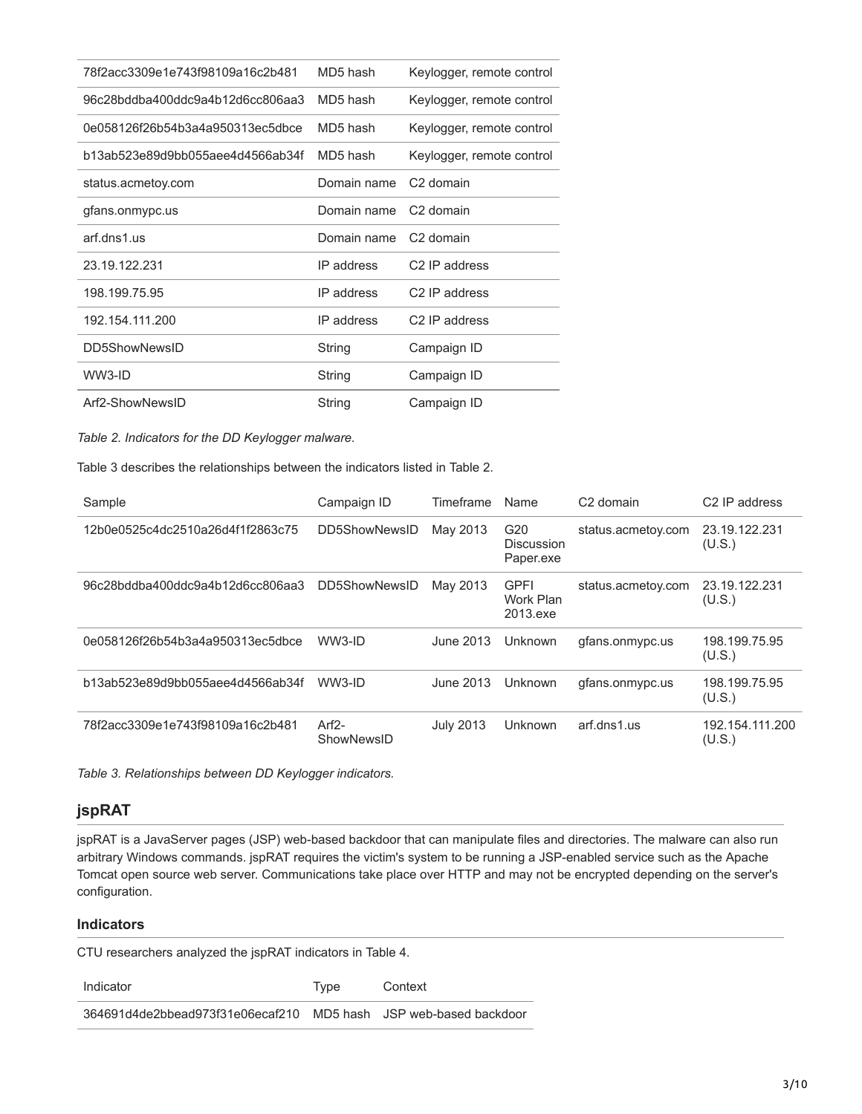| 78f2acc3309e1e743f98109a16c2b481 | MD5 hash    | Keylogger, remote control |
|----------------------------------|-------------|---------------------------|
| 96c28bddba400ddc9a4b12d6cc806aa3 | MD5 hash    | Keylogger, remote control |
| 0e058126f26b54b3a4a950313ec5dbce | MD5 hash    | Keylogger, remote control |
| b13ab523e89d9bb055aee4d4566ab34f | MD5 hash    | Keylogger, remote control |
| status.acmetoy.com               | Domain name | C <sub>2</sub> domain     |
| gfans.onmypc.us                  | Domain name | C <sub>2</sub> domain     |
| arf.dns1.us                      | Domain name | C <sub>2</sub> domain     |
| 23.19.122.231                    | IP address  | C <sub>2</sub> IP address |
| 198.199.75.95                    | IP address  | C <sub>2</sub> IP address |
| 192.154.111.200                  | IP address  | C <sub>2</sub> IP address |
| DD5ShowNewsID                    | String      | Campaign ID               |
| WW3-ID                           | String      | Campaign ID               |
| Arf2-ShowNewsID                  | String      | Campaign ID               |

#### *Table 2. Indicators for the DD Keylogger malware.*

Table 3 describes the relationships between the indicators listed in Table 2.

| Sample                           | Campaign ID           | Timeframe        | Name                                       | C2 domain          | C <sub>2</sub> IP address |
|----------------------------------|-----------------------|------------------|--------------------------------------------|--------------------|---------------------------|
| 12b0e0525c4dc2510a26d4f1f2863c75 | DD5ShowNewsID         | May 2013         | G <sub>20</sub><br>Discussion<br>Paper.exe | status.acmetoy.com | 23.19.122.231<br>(U.S.)   |
| 96c28bddba400ddc9a4b12d6cc806aa3 | DD5ShowNewsID         | May 2013         | <b>GPFI</b><br>Work Plan<br>2013.exe       | status.acmetoy.com | 23.19.122.231<br>(U.S.)   |
| 0e058126f26b54b3a4a950313ec5dbce | WW3-ID                | June 2013        | Unknown                                    | gfans.onmypc.us    | 198.199.75.95<br>(U.S.)   |
| b13ab523e89d9bb055aee4d4566ab34f | WW3-ID                | June 2013        | Unknown                                    | gfans.onmypc.us    | 198.199.75.95<br>(U.S.)   |
| 78f2acc3309e1e743f98109a16c2b481 | $Arf2-$<br>ShowNewsID | <b>July 2013</b> | Unknown                                    | arf.dns1.us        | 192.154.111.200<br>(U.S.) |

*Table 3. Relationships between DD Keylogger indicators.*

### <span id="page-2-0"></span>**jspRAT**

jspRAT is a JavaServer pages (JSP) web-based backdoor that can manipulate files and directories. The malware can also run arbitrary Windows commands. jspRAT requires the victim's system to be running a JSP-enabled service such as the Apache Tomcat open source web server. Communications take place over HTTP and may not be encrypted depending on the server's configuration.

#### **Indicators**

CTU researchers analyzed the jspRAT indicators in Table 4.

Indicator **Type** Context

364691d4de2bbead973f31e06ecaf210 MD5 hash JSP web-based backdoor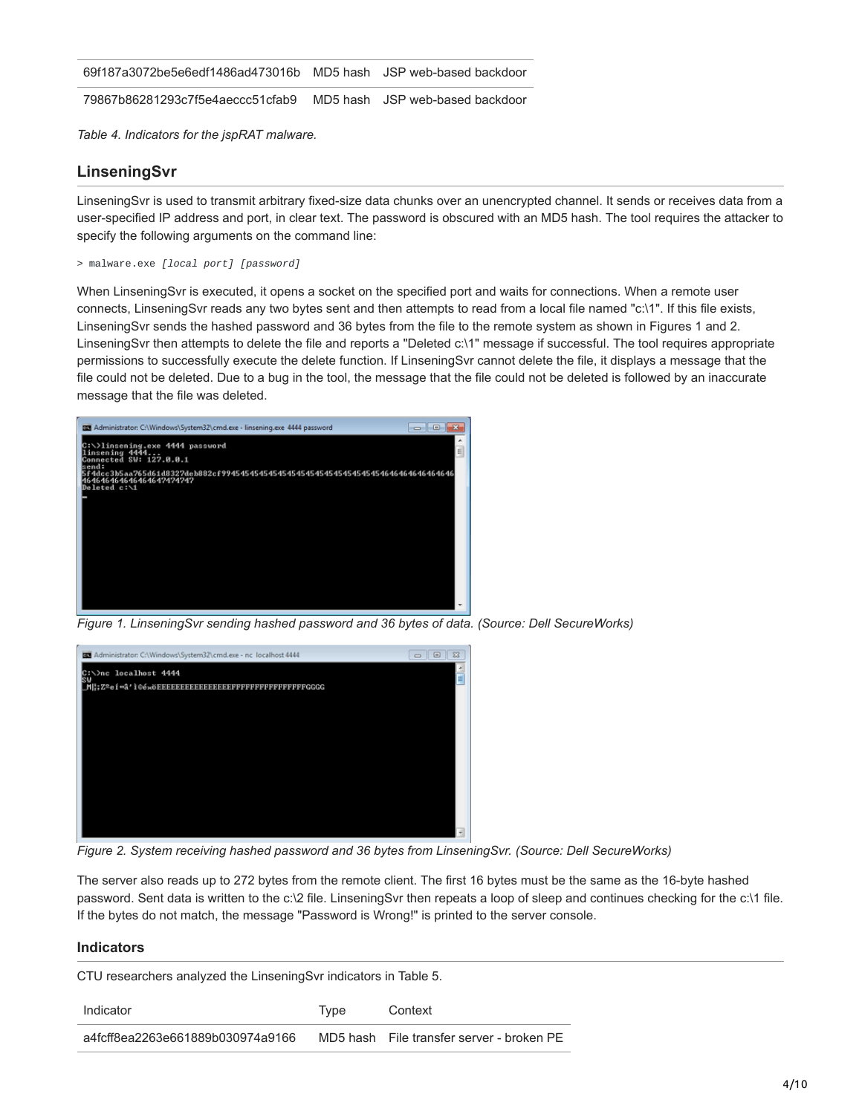69f187a3072be5e6edf1486ad473016b MD5 hash JSP web-based backdoor

79867b86281293c7f5e4aeccc51cfab9 MD5 hash JSP web-based backdoor

*Table 4. Indicators for the jspRAT malware.*

### <span id="page-3-0"></span>**LinseningSvr**

LinseningSvr is used to transmit arbitrary fixed-size data chunks over an unencrypted channel. It sends or receives data from a user-specified IP address and port, in clear text. The password is obscured with an MD5 hash. The tool requires the attacker to specify the following arguments on the command line:

> malware.exe *[local port] [password]*

When LinseningSvr is executed, it opens a socket on the specified port and waits for connections. When a remote user connects, LinseningSvr reads any two bytes sent and then attempts to read from a local file named "c:\1". If this file exists, LinseningSvr sends the hashed password and 36 bytes from the file to the remote system as shown in Figures 1 and 2. LinseningSvr then attempts to delete the file and reports a "Deleted c:\1" message if successful. The tool requires appropriate permissions to successfully execute the delete function. If LinseningSvr cannot delete the file, it displays a message that the file could not be deleted. Due to a bug in the tool, the message that the file could not be deleted is followed by an inaccurate message that the file was deleted.



*Figure 1. LinseningSvr sending hashed password and 36 bytes of data. (Source: Dell SecureWorks)*



*Figure 2. System receiving hashed password and 36 bytes from LinseningSvr. (Source: Dell SecureWorks)*

The server also reads up to 272 bytes from the remote client. The first 16 bytes must be the same as the 16-byte hashed password. Sent data is written to the c:\2 file. LinseningSvr then repeats a loop of sleep and continues checking for the c:\1 file. If the bytes do not match, the message "Password is Wrong!" is printed to the server console.

#### **Indicators**

| CTU researchers analyzed the LinseningSyr indicators in Table 5. |      |                                           |  |  |
|------------------------------------------------------------------|------|-------------------------------------------|--|--|
| Indicator                                                        | Tvpe | Context                                   |  |  |
| a4fcff8ea2263e661889b030974a9166                                 |      | MD5 hash File transfer server - broken PE |  |  |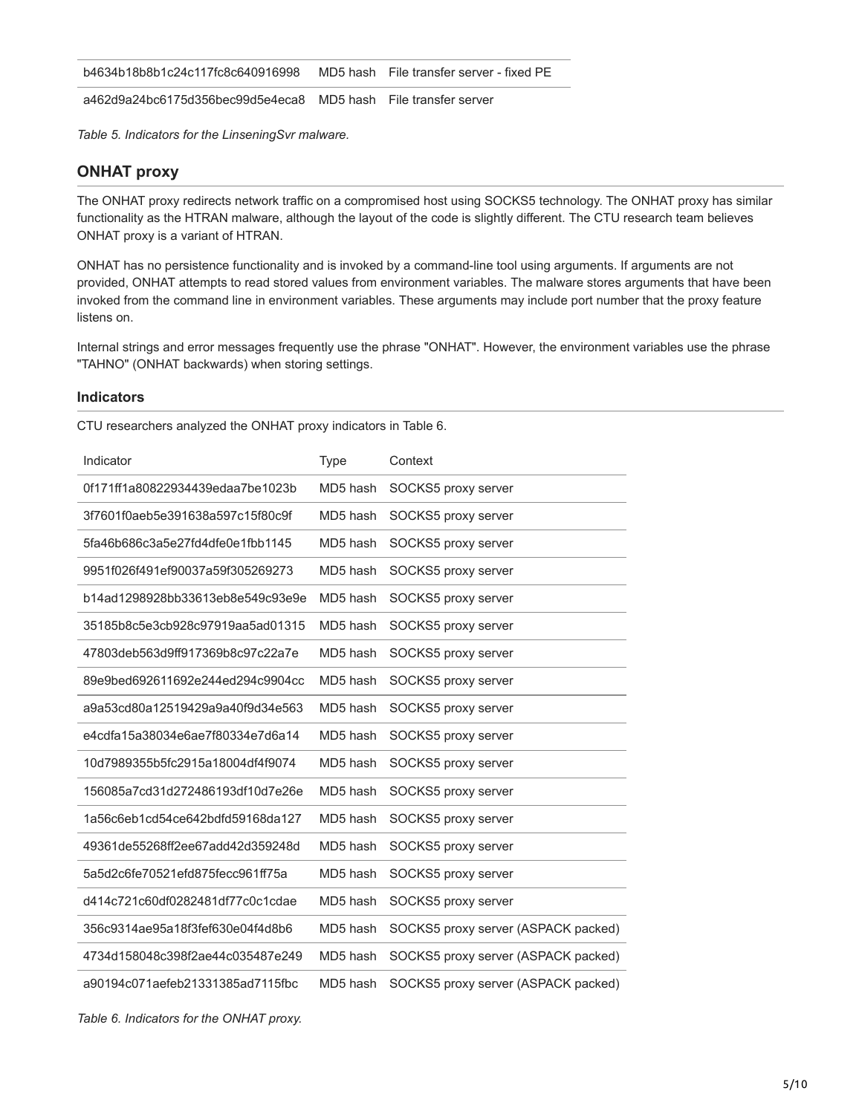| b4634b18b8b1c24c117fc8c640916998 MD5 hash File transfer server - fixed PE |  |
|---------------------------------------------------------------------------|--|
|                                                                           |  |

a462d9a24bc6175d356bec99d5e4eca8 MD5 hash File transfer server

*Table 5. Indicators for the LinseningSvr malware.*

# <span id="page-4-0"></span>**ONHAT proxy**

The ONHAT proxy redirects network traffic on a compromised host using SOCKS5 technology. The ONHAT proxy has similar functionality as the HTRAN malware, although the layout of the code is slightly different. The CTU research team believes ONHAT proxy is a variant of HTRAN.

ONHAT has no persistence functionality and is invoked by a command-line tool using arguments. If arguments are not provided, ONHAT attempts to read stored values from environment variables. The malware stores arguments that have been invoked from the command line in environment variables. These arguments may include port number that the proxy feature listens on.

Internal strings and error messages frequently use the phrase "ONHAT". However, the environment variables use the phrase "TAHNO" (ONHAT backwards) when storing settings.

#### **Indicators**

CTU researchers analyzed the ONHAT proxy indicators in Table 6.

| Indicator                        | <b>Type</b> | Context                             |
|----------------------------------|-------------|-------------------------------------|
| 0f171ff1a80822934439edaa7be1023b | MD5 hash    | SOCKS5 proxy server                 |
| 3f7601f0aeb5e391638a597c15f80c9f | MD5 hash    | SOCKS5 proxy server                 |
| 5fa46b686c3a5e27fd4dfe0e1fbb1145 | MD5 hash    | SOCKS5 proxy server                 |
| 9951f026f491ef90037a59f305269273 | MD5 hash    | SOCKS5 proxy server                 |
| b14ad1298928bb33613eb8e549c93e9e | MD5 hash    | SOCKS5 proxy server                 |
| 35185b8c5e3cb928c97919aa5ad01315 | MD5 hash    | SOCKS5 proxy server                 |
| 47803deb563d9ff917369b8c97c22a7e | MD5 hash    | SOCKS5 proxy server                 |
| 89e9bed692611692e244ed294c9904cc | MD5 hash    | SOCKS5 proxy server                 |
| a9a53cd80a12519429a9a40f9d34e563 | MD5 hash    | SOCKS5 proxy server                 |
| e4cdfa15a38034e6ae7f80334e7d6a14 | MD5 hash    | SOCKS5 proxy server                 |
| 10d7989355b5fc2915a18004df4f9074 | MD5 hash    | SOCKS5 proxy server                 |
| 156085a7cd31d272486193df10d7e26e | MD5 hash    | SOCKS5 proxy server                 |
| 1a56c6eb1cd54ce642bdfd59168da127 | MD5 hash    | SOCKS5 proxy server                 |
| 49361de55268ff2ee67add42d359248d | MD5 hash    | SOCKS5 proxy server                 |
| 5a5d2c6fe70521efd875fecc961ff75a | MD5 hash    | SOCKS5 proxy server                 |
| d414c721c60df0282481df77c0c1cdae | MD5 hash    | SOCKS5 proxy server                 |
| 356c9314ae95a18f3fef630e04f4d8b6 | MD5 hash    | SOCKS5 proxy server (ASPACK packed) |
| 4734d158048c398f2ae44c035487e249 | MD5 hash    | SOCKS5 proxy server (ASPACK packed) |
| a90194c071aefeb21331385ad7115fbc | MD5 hash    | SOCKS5 proxy server (ASPACK packed) |

<span id="page-4-1"></span>*Table 6. Indicators for the ONHAT proxy.*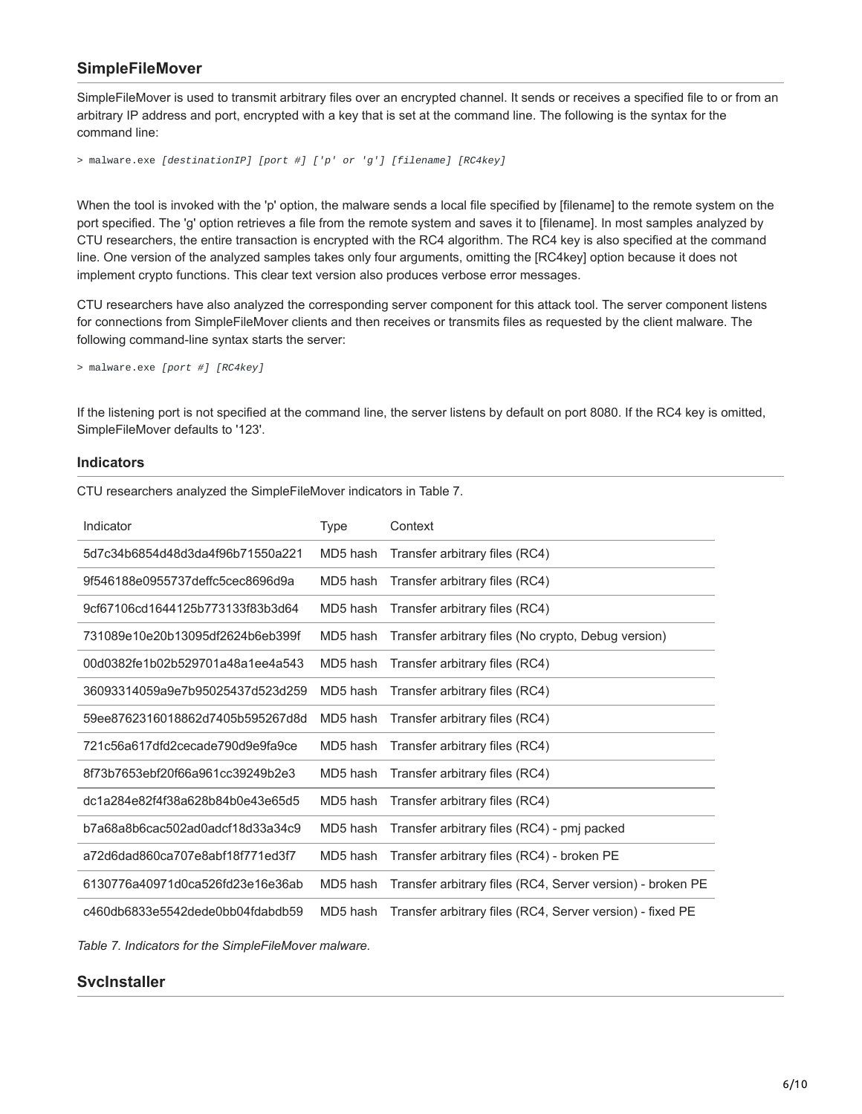# **SimpleFileMover**

SimpleFileMover is used to transmit arbitrary files over an encrypted channel. It sends or receives a specified file to or from an arbitrary IP address and port, encrypted with a key that is set at the command line. The following is the syntax for the command line:

```
> malware.exe [destinationIP] [port #] ['p' or 'g'] [filename] [RC4key]
```
When the tool is invoked with the 'p' option, the malware sends a local file specified by [filename] to the remote system on the port specified. The 'g' option retrieves a file from the remote system and saves it to [filename]. In most samples analyzed by CTU researchers, the entire transaction is encrypted with the RC4 algorithm. The RC4 key is also specified at the command line. One version of the analyzed samples takes only four arguments, omitting the [RC4key] option because it does not implement crypto functions. This clear text version also produces verbose error messages.

CTU researchers have also analyzed the corresponding server component for this attack tool. The server component listens for connections from SimpleFileMover clients and then receives or transmits files as requested by the client malware. The following command-line syntax starts the server:

```
> malware.exe [port #] [RC4key]
```
If the listening port is not specified at the command line, the server listens by default on port 8080. If the RC4 key is omitted, SimpleFileMover defaults to '123'.

### **Indicators**

CTU researchers analyzed the SimpleFileMover indicators in Table 7.

| Indicator                        | Type     | Context                                                    |
|----------------------------------|----------|------------------------------------------------------------|
| 5d7c34b6854d48d3da4f96b71550a221 | MD5 hash | Transfer arbitrary files (RC4)                             |
| 9f546188e0955737deffc5cec8696d9a | MD5 hash | Transfer arbitrary files (RC4)                             |
| 9cf67106cd1644125b773133f83b3d64 | MD5 hash | Transfer arbitrary files (RC4)                             |
| 731089e10e20b13095df2624b6eb399f | MD5 hash | Transfer arbitrary files (No crypto, Debug version)        |
| 00d0382fe1b02b529701a48a1ee4a543 | MD5 hash | Transfer arbitrary files (RC4)                             |
| 36093314059a9e7b95025437d523d259 | MD5 hash | Transfer arbitrary files (RC4)                             |
| 59ee8762316018862d7405b595267d8d | MD5 hash | Transfer arbitrary files (RC4)                             |
| 721c56a617dfd2cecade790d9e9fa9ce | MD5 hash | Transfer arbitrary files (RC4)                             |
| 8f73b7653ebf20f66a961cc39249b2e3 | MD5 hash | Transfer arbitrary files (RC4)                             |
| dc1a284e82f4f38a628b84b0e43e65d5 | MD5 hash | Transfer arbitrary files (RC4)                             |
| b7a68a8b6cac502ad0adcf18d33a34c9 | MD5 hash | Transfer arbitrary files (RC4) - pmj packed                |
| a72d6dad860ca707e8abf18f771ed3f7 | MD5 hash | Transfer arbitrary files (RC4) - broken PE                 |
| 6130776a40971d0ca526fd23e16e36ab | MD5 hash | Transfer arbitrary files (RC4, Server version) - broken PE |
| c460db6833e5542dede0bb04fdabdb59 | MD5 hash | Transfer arbitrary files (RC4, Server version) - fixed PE  |

*Table 7. Indicators for the SimpleFileMover malware.*

# <span id="page-5-0"></span>**SvcInstaller**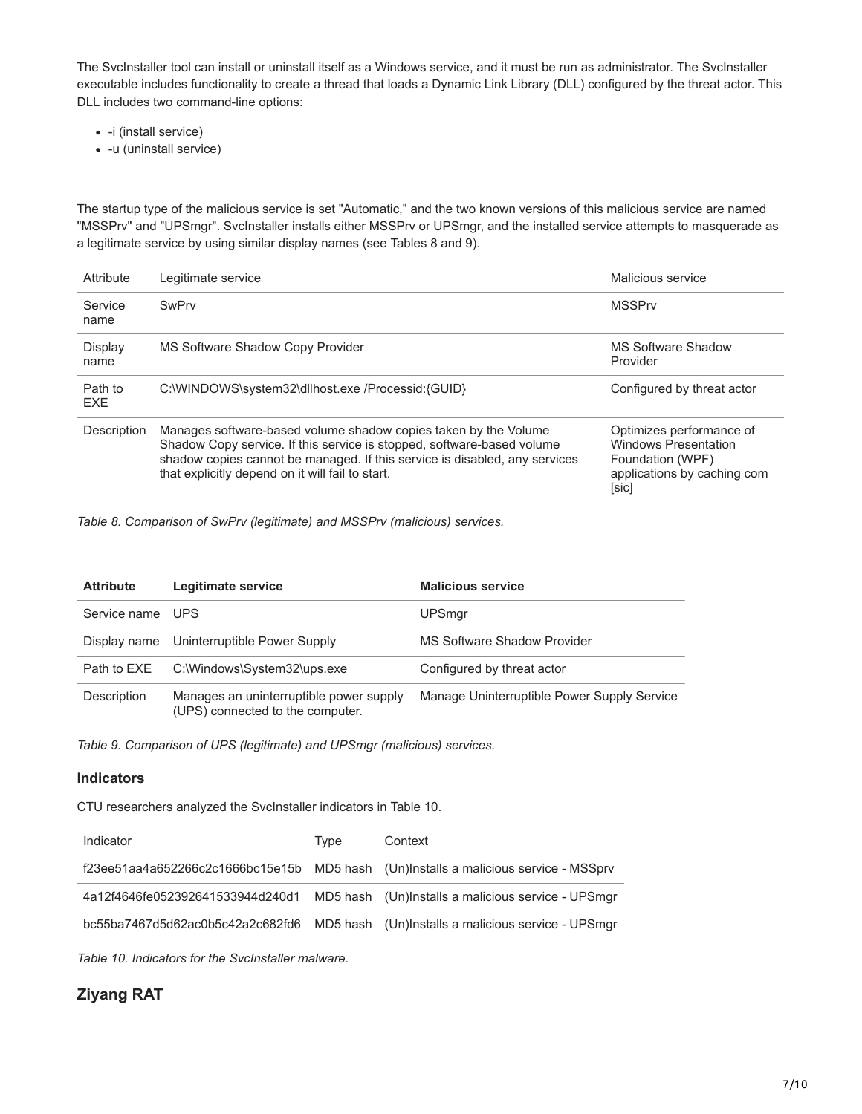The SvcInstaller tool can install or uninstall itself as a Windows service, and it must be run as administrator. The SvcInstaller executable includes functionality to create a thread that loads a Dynamic Link Library (DLL) configured by the threat actor. This DLL includes two command-line options:

- -i (install service)
- -u (uninstall service)

The startup type of the malicious service is set "Automatic," and the two known versions of this malicious service are named "MSSPrv" and "UPSmgr". SvcInstaller installs either MSSPrv or UPSmgr, and the installed service attempts to masquerade as a legitimate service by using similar display names (see Tables 8 and 9).

| Attribute             | Legitimate service                                                                                                                                                                                                                                                          | Malicious service                                                                                                   |
|-----------------------|-----------------------------------------------------------------------------------------------------------------------------------------------------------------------------------------------------------------------------------------------------------------------------|---------------------------------------------------------------------------------------------------------------------|
| Service<br>name       | SwPrv                                                                                                                                                                                                                                                                       | <b>MSSPrv</b>                                                                                                       |
| Display<br>name       | MS Software Shadow Copy Provider                                                                                                                                                                                                                                            | MS Software Shadow<br>Provider                                                                                      |
| Path to<br><b>EXE</b> | C:\WINDOWS\system32\dllhost.exe /Processid:{GUID}                                                                                                                                                                                                                           | Configured by threat actor                                                                                          |
| Description           | Manages software-based volume shadow copies taken by the Volume<br>Shadow Copy service. If this service is stopped, software-based volume<br>shadow copies cannot be managed. If this service is disabled, any services<br>that explicitly depend on it will fail to start. | Optimizes performance of<br><b>Windows Presentation</b><br>Foundation (WPF)<br>applications by caching com<br>[sic] |

*Table 8. Comparison of SwPrv (legitimate) and MSSPrv (malicious) services.*

| <b>Attribute</b> | Legitimate service                                                          | <b>Malicious service</b>                    |
|------------------|-----------------------------------------------------------------------------|---------------------------------------------|
| Service name UPS |                                                                             | <b>UPSmgr</b>                               |
|                  | Display name Uninterruptible Power Supply                                   | MS Software Shadow Provider                 |
| Path to EXE      | C:\Windows\System32\ups.exe                                                 | Configured by threat actor                  |
| Description      | Manages an uninterruptible power supply<br>(UPS) connected to the computer. | Manage Uninterruptible Power Supply Service |

*Table 9. Comparison of UPS (legitimate) and UPSmgr (malicious) services.*

### **Indicators**

CTU researchers analyzed the SvcInstaller indicators in Table 10.

| Indicator                        | Tvpe | Context                                                                             |
|----------------------------------|------|-------------------------------------------------------------------------------------|
|                                  |      | f23ee51aa4a652266c2c1666bc15e15b MD5 hash (Un)Installs a malicious service - MSSprv |
| 4a12f4646fe052392641533944d240d1 |      | MD5 hash (Un)Installs a malicious service - UPSmgr                                  |
| bc55ba7467d5d62ac0b5c42a2c682fd6 |      | MD5 hash (Un)Installs a malicious service - UPSmgr                                  |

*Table 10. Indicators for the SvcInstaller malware.*

# <span id="page-6-0"></span>**Ziyang RAT**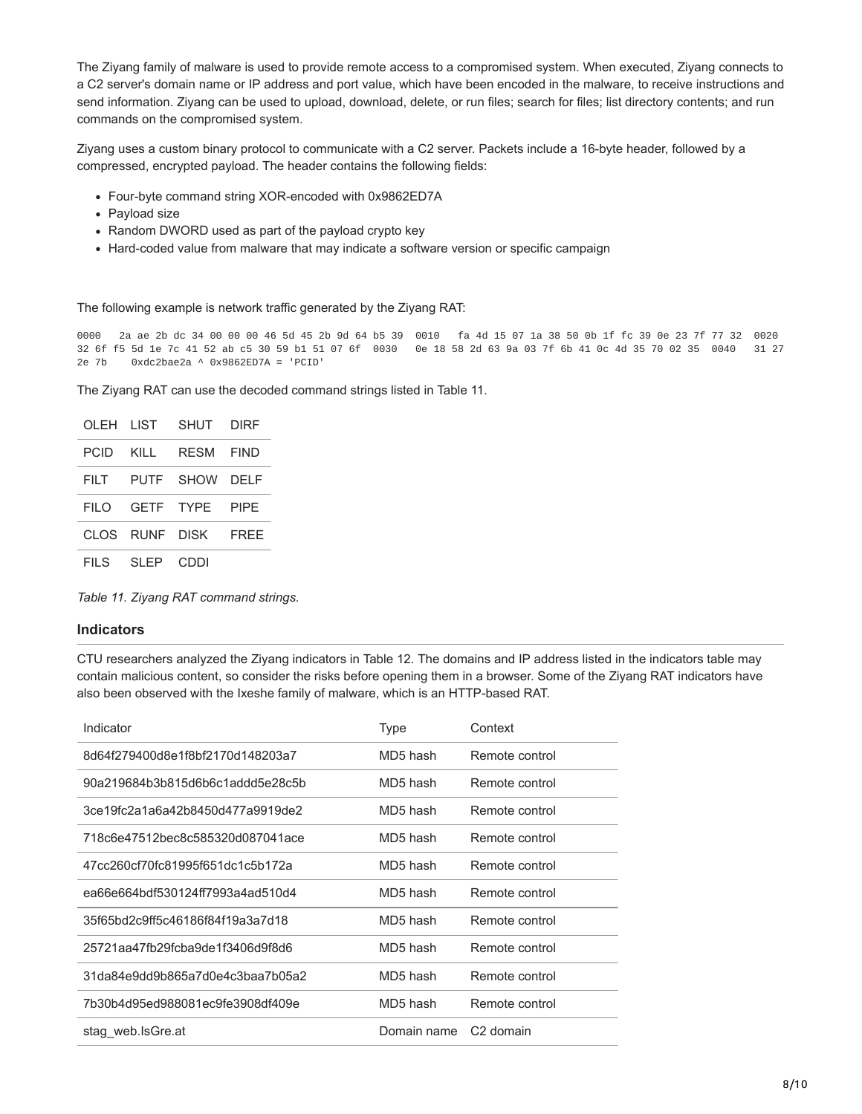The Ziyang family of malware is used to provide remote access to a compromised system. When executed, Ziyang connects to a C2 server's domain name or IP address and port value, which have been encoded in the malware, to receive instructions and send information. Ziyang can be used to upload, download, delete, or run files; search for files; list directory contents; and run commands on the compromised system.

Ziyang uses a custom binary protocol to communicate with a C2 server. Packets include a 16-byte header, followed by a compressed, encrypted payload. The header contains the following fields:

- Four-byte command string XOR-encoded with 0x9862ED7A
- Payload size
- Random DWORD used as part of the payload crypto key
- Hard-coded value from malware that may indicate a software version or specific campaign

The following example is network traffic generated by the Ziyang RAT:

0000 2a ae 2b dc 34 00 00 00 46 5d 45 2b 9d 64 b5 39 0010 fa 4d 15 07 1a 38 50 0b 1f fc 39 0e 23 7f 77 32 0020 32 6f f5 5d 1e 7c 41 52 ab c5 30 59 b1 51 07 6f 0030 0e 18 58 2d 63 9a 03 7f 6b 41 0c 4d 35 70 02 35 0040 31 27 2e 7b 0xdc2bae2a ^ 0x9862ED7A = 'PCID'

The Ziyang RAT can use the decoded command strings listed in Table 11.

|                | OLEH LIST SHUT DIRF |  |
|----------------|---------------------|--|
| PCID KILL      | RESM FIND           |  |
|                | FILT PUTF SHOW DELF |  |
|                | FILO GETF TYPE PIPE |  |
|                | CLOS RUNF DISK FREE |  |
| FILS SLEP CDDI |                     |  |

*Table 11. Ziyang RAT command strings.*

#### **Indicators**

CTU researchers analyzed the Ziyang indicators in Table 12. The domains and IP address listed in the indicators table may contain malicious content, so consider the risks before opening them in a browser. Some of the Ziyang RAT indicators have also been observed with the Ixeshe family of malware, which is an HTTP-based RAT.

| Indicator                        | Type        | Context               |
|----------------------------------|-------------|-----------------------|
| 8d64f279400d8e1f8bf2170d148203a7 | MD5 hash    | Remote control        |
| 90a219684b3b815d6b6c1addd5e28c5b | MD5 hash    | Remote control        |
| 3ce19fc2a1a6a42b8450d477a9919de2 | MD5 hash    | Remote control        |
| 718c6e47512bec8c585320d087041ace | MD5 hash    | Remote control        |
| 47cc260cf70fc81995f651dc1c5b172a | MD5 hash    | Remote control        |
| ea66e664bdf530124ff7993a4ad510d4 | MD5 hash    | Remote control        |
| 35f65bd2c9ff5c46186f84f19a3a7d18 | MD5 hash    | Remote control        |
| 25721aa47fb29fcba9de1f3406d9f8d6 | MD5 hash    | Remote control        |
| 31da84e9dd9b865a7d0e4c3baa7b05a2 | MD5 hash    | Remote control        |
| 7b30b4d95ed988081ec9fe3908df409e | MD5 hash    | Remote control        |
| stag web.IsGre.at                | Domain name | C <sub>2</sub> domain |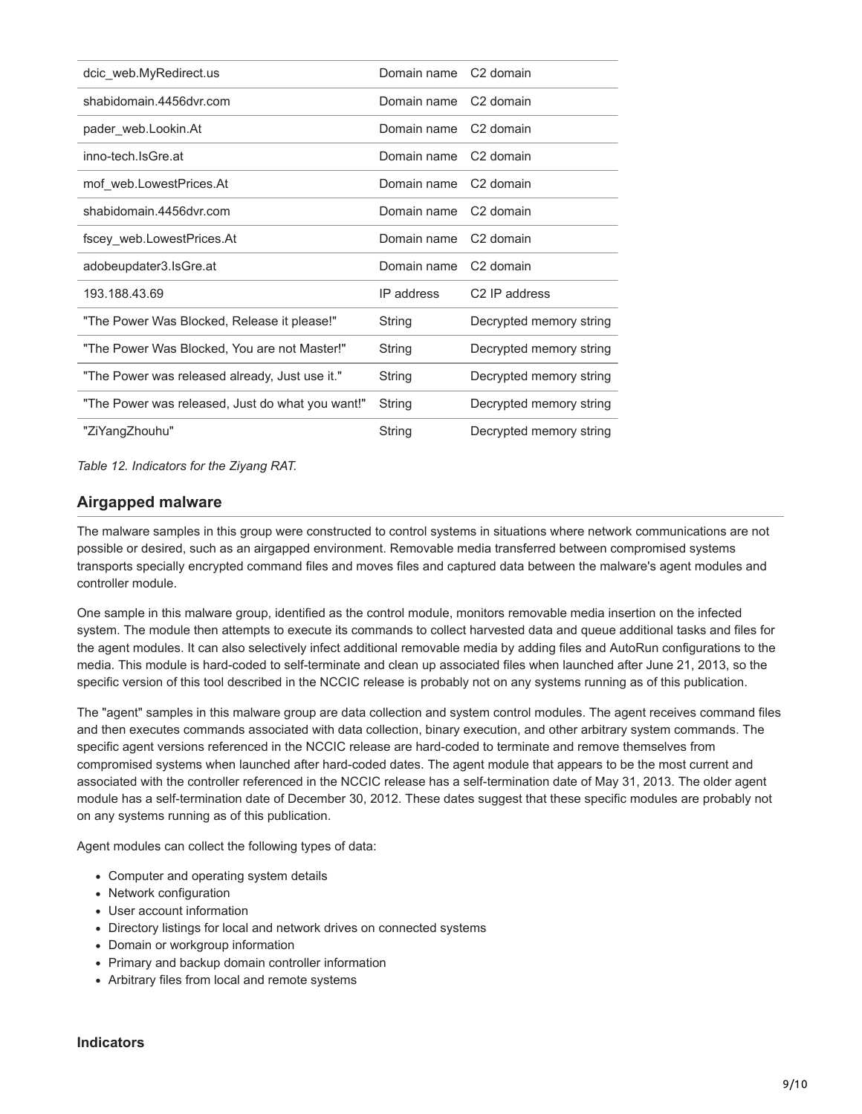| dcic_web.MyRedirect.us                           | Domain name           | C2 domain                 |
|--------------------------------------------------|-----------------------|---------------------------|
| shabidomain.4456dvr.com                          | Domain name C2 domain |                           |
| pader web.Lookin.At                              | Domain name           | C <sub>2</sub> domain     |
| inno-tech.IsGre.at                               | Domain name           | C <sub>2</sub> domain     |
| mof web.LowestPrices.At                          | Domain name           | C <sub>2</sub> domain     |
| shabidomain.4456dvr.com                          | Domain name           | C <sub>2</sub> domain     |
| fscey web.LowestPrices.At                        | Domain name           | C <sub>2</sub> domain     |
| adobeupdater3.IsGre.at                           | Domain name           | C <sub>2</sub> domain     |
| 193.188.43.69                                    | IP address            | C <sub>2</sub> IP address |
| "The Power Was Blocked, Release it please!"      | String                | Decrypted memory string   |
| "The Power Was Blocked, You are not Master!"     | String                | Decrypted memory string   |
| "The Power was released already, Just use it."   | String                | Decrypted memory string   |
| "The Power was released, Just do what you want!" | String                | Decrypted memory string   |
| "ZiYangZhouhu"                                   | String                | Decrypted memory string   |

*Table 12. Indicators for the Ziyang RAT.*

### <span id="page-8-0"></span>**Airgapped malware**

The malware samples in this group were constructed to control systems in situations where network communications are not possible or desired, such as an airgapped environment. Removable media transferred between compromised systems transports specially encrypted command files and moves files and captured data between the malware's agent modules and controller module.

One sample in this malware group, identified as the control module, monitors removable media insertion on the infected system. The module then attempts to execute its commands to collect harvested data and queue additional tasks and files for the agent modules. It can also selectively infect additional removable media by adding files and AutoRun configurations to the media. This module is hard-coded to self-terminate and clean up associated files when launched after June 21, 2013, so the specific version of this tool described in the NCCIC release is probably not on any systems running as of this publication.

The "agent" samples in this malware group are data collection and system control modules. The agent receives command files and then executes commands associated with data collection, binary execution, and other arbitrary system commands. The specific agent versions referenced in the NCCIC release are hard-coded to terminate and remove themselves from compromised systems when launched after hard-coded dates. The agent module that appears to be the most current and associated with the controller referenced in the NCCIC release has a self-termination date of May 31, 2013. The older agent module has a self-termination date of December 30, 2012. These dates suggest that these specific modules are probably not on any systems running as of this publication.

Agent modules can collect the following types of data:

- Computer and operating system details
- Network configuration
- User account information
- Directory listings for local and network drives on connected systems
- Domain or workgroup information
- Primary and backup domain controller information
- Arbitrary files from local and remote systems